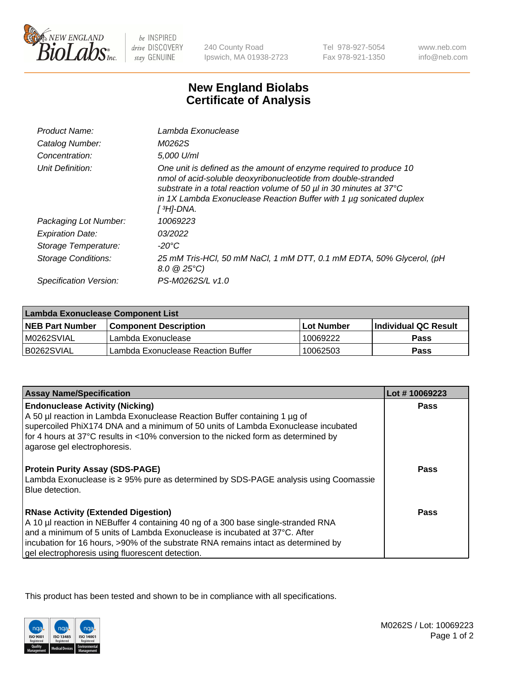

 $be$  INSPIRED drive DISCOVERY stay GENUINE

240 County Road Ipswich, MA 01938-2723

Tel 978-927-5054 Fax 978-921-1350 www.neb.com info@neb.com

## **New England Biolabs Certificate of Analysis**

| Product Name:           | Lambda Exonuclease                                                                                                                                                                                                                                                                                   |
|-------------------------|------------------------------------------------------------------------------------------------------------------------------------------------------------------------------------------------------------------------------------------------------------------------------------------------------|
| Catalog Number:         | M0262S                                                                                                                                                                                                                                                                                               |
| Concentration:          | 5.000 U/ml                                                                                                                                                                                                                                                                                           |
| Unit Definition:        | One unit is defined as the amount of enzyme required to produce 10<br>nmol of acid-soluble deoxyribonucleotide from double-stranded<br>substrate in a total reaction volume of 50 µl in 30 minutes at 37°C<br>in 1X Lambda Exonuclease Reaction Buffer with 1 $\mu$ g sonicated duplex<br>[ 3H]-DNA. |
| Packaging Lot Number:   | 10069223                                                                                                                                                                                                                                                                                             |
| <b>Expiration Date:</b> | 03/2022                                                                                                                                                                                                                                                                                              |
| Storage Temperature:    | $-20^{\circ}$ C                                                                                                                                                                                                                                                                                      |
| Storage Conditions:     | 25 mM Tris-HCl, 50 mM NaCl, 1 mM DTT, 0.1 mM EDTA, 50% Glycerol, (pH<br>$8.0 \ @ 25^{\circ}C$                                                                                                                                                                                                        |
| Specification Version:  | PS-M0262S/L v1.0                                                                                                                                                                                                                                                                                     |
|                         |                                                                                                                                                                                                                                                                                                      |

| Lambda Exonuclease Component List |                                    |            |                             |  |
|-----------------------------------|------------------------------------|------------|-----------------------------|--|
| <b>NEB Part Number</b>            | <b>Component Description</b>       | Lot Number | <b>Individual QC Result</b> |  |
| IM0262SVIAL                       | Lambda Exonuclease                 | 10069222   | <b>Pass</b>                 |  |
| IB0262SVIAL                       | Lambda Exonuclease Reaction Buffer | 10062503   | Pass                        |  |

| <b>Assay Name/Specification</b>                                                                                                                                                                               | Lot #10069223 |
|---------------------------------------------------------------------------------------------------------------------------------------------------------------------------------------------------------------|---------------|
| <b>Endonuclease Activity (Nicking)</b>                                                                                                                                                                        | <b>Pass</b>   |
| A 50 µl reaction in Lambda Exonuclease Reaction Buffer containing 1 µg of                                                                                                                                     |               |
| supercoiled PhiX174 DNA and a minimum of 50 units of Lambda Exonuclease incubated                                                                                                                             |               |
| for 4 hours at 37°C results in <10% conversion to the nicked form as determined by                                                                                                                            |               |
| agarose gel electrophoresis.                                                                                                                                                                                  |               |
| <b>Protein Purity Assay (SDS-PAGE)</b><br>Lambda Exonuclease is ≥ 95% pure as determined by SDS-PAGE analysis using Coomassie<br>Blue detection.                                                              | Pass          |
| <b>RNase Activity (Extended Digestion)</b><br>A 10 µl reaction in NEBuffer 4 containing 40 ng of a 300 base single-stranded RNA<br>and a minimum of 5 units of Lambda Exonuclease is incubated at 37°C. After | Pass          |
| incubation for 16 hours, >90% of the substrate RNA remains intact as determined by<br>gel electrophoresis using fluorescent detection.                                                                        |               |

This product has been tested and shown to be in compliance with all specifications.